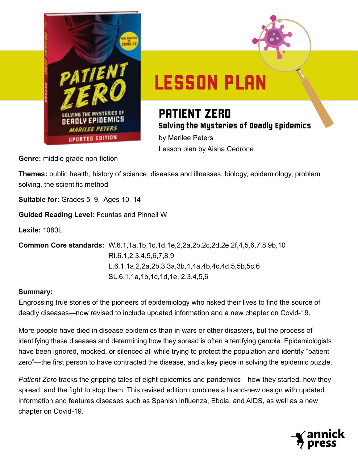



# LESSON PLAN

## PATIENT ZERO Solving the Mysteries of Deadly Epidemics

by Marilee Peters Lesson plan by Aisha Cedrone

**Genre:** middle grade non-fiction

**Themes:** public health, history of science, diseases and illnesses, biology, epidemiology, problem solving, the scientific method

**Suitable for:** Grades 5–9, Ages 10–14

**Guided Reading Level:** Fountas and Pinnell W

**Lexile:** 1080L

**Common Core standards:** W.6.1,1a,1b,1c,1d,1e,2,2a,2b,2c,2d,2e,2f,4,5,6,7,8,9b,10 RI.6.1,2,3,4,5,6,7,8,9 L.6.1,1a,2,2a,2b,3,3a,3b,4,4a,4b,4c,4d,5,5b,5c,6 SL.6.1,1a,1b,1c,1d,1e, 2,3,4,5,6

#### **Summary:**

Engrossing true stories of the pioneers of epidemiology who risked their lives to find the source of deadly diseases—now revised to include updated information and a new chapter on Covid-19.

More people have died in disease epidemics than in wars or other disasters, but the process of identifying these diseases and determining how they spread is often a terrifying gamble. Epidemiologists have been ignored, mocked, or silenced all while trying to protect the population and identify "patient zero"—the first person to have contracted the disease, and a key piece in solving the epidemic puzzle.

*Patient Zero* tracks the gripping tales of eight epidemics and pandemics—how they started, how they spread, and the fight to stop them. This revised edition combines a brand-new design with updated information and features diseases such as Spanish influenza, Ebola, and AIDS, as well as a new chapter on Covid-19.

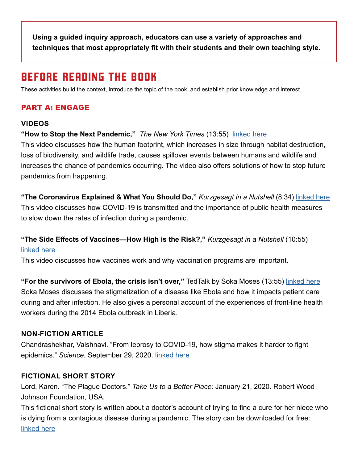**Using a guided inquiry approach, educators can use a variety of approaches and techniques that most appropriately fit with their students and their own teaching style.** 

## BEFORE READING THE BOOK

These activities build the context, introduce the topic of the book, and establish prior knowledge and interest.

#### PART A: ENGAGE

#### **VIDEOS**

**"How to Stop the Next Pandemic,"** *The New York Times* (13:55) [linked here](https://www.nytimes.com/video/health/100000007293397/covid-pandemics-causes-documentary.html)

This video discusses how the human footprint, which increases in size through habitat destruction, loss of biodiversity, and wildlife trade, causes spillover events between humans and wildlife and increases the chance of pandemics occurring. The video also offers solutions of how to stop future pandemics from happening.

**"The Coronavirus Explained & What You Should Do,"** *Kurzgesagt in a Nutshell* (8:34) linke[d here](https://youtu.be/BtN-goy9VOY) This video discusses how COVID-19 is transmitted and the importance of public health measures to slow down the rates of infection during a pandemic.

#### **"The Side Effects of Vaccines—How High is the Risk?,"** *Kurzgesagt in a Nutshell* (10:55)

#### linke[d here](https://youtu.be/zBkVCpbNnkU)

This video discusses how vaccines work and why vaccination programs are important.

**"For the survivors of Ebola, the crisis isn't over,"** TedTalk by Soka Moses (13:55) [linked here](https://www.ted.com/talks/soka_moses_for_survivors_of_ebola_the_crisis_isn_t_over?utm_campaign=tedspread&utm_medium=referral&utm_source=tedcomshare) Soka Moses discusses the stigmatization of a disease like Ebola and how it impacts patient care during and after infection. He also gives a personal account of the experiences of front-line health workers during the 2014 Ebola outbreak in Liberia.

#### **NON-FICTION ARTICLE**

Chandrashekhar, Vaishnavi. "From leprosy to COVID-19, how stigma makes it harder to fight epidemics." *Science*, September 29, 2020. [linked here](https://www.sciencemag.org/news/2020/09/leprosy-COVID-19-how-stigma-makes-it-harder-fight-epidemics)

#### **FICTIONAL SHORT STORY**

Lord, Karen. "The Plague Doctors." *Take Us to a Better Place:* January 21, 2020. Robert Wood Johnson Foundation, USA.

This fictional short story is written about a doctor's account of trying to find a cure for her niece who is dying from a contagious disease during a pandemic. The story can be downloaded for free: [linked here](https://www.rwjf.org/en/library/research/2019/11/take-us-to-a-better-place-stories-coming-january-2020.html?cid=xsp_partners_unpd_ini:takeustoabetterplace_dte:20191202_des:kl)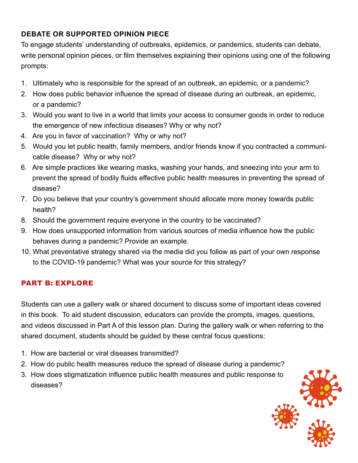#### **DEBATE OR SUPPORTED OPINION PIECE**

To engage students' understanding of outbreaks, epidemics, or pandemics, students can debate, write personal opinion pieces, or film themselves explaining their opinions using one of the following prompts:

- 1. Ultimately who is responsible for the spread of an outbreak, an epidemic, or a pandemic?
- 2. How does public behavior influence the spread of disease during an outbreak, an epidemic, or a pandemic?
- 3. Would you want to live in a world that limits your access to consumer goods in order to reduce the emergence of new infectious diseases? Why or why not?
- 4. Are you in favor of vaccination? Why or why not?
- 5. Would you let public health, family members, and/or friends know if you contracted a communicable disease? Why or why not?
- 6. Are simple practices like wearing masks, washing your hands, and sneezing into your arm to prevent the spread of bodily fluids effective public health measures in preventing the spread of disease?
- 7. Do you believe that your country's government should allocate more money towards public health?
- 8. Should the government require everyone in the country to be vaccinated?
- 9. How does unsupported information from various sources of media influence how the public behaves during a pandemic? Provide an example.
- 10. What preventative strategy shared via the media did you follow as part of your own response to the COVID-19 pandemic? What was your source for this strategy?

#### PART B: EXPLORE

Students can use a gallery walk or shared document to discuss some of important ideas covered in this book. To aid student discussion, educators can provide the prompts, images, questions, and videos discussed in Part A of this lesson plan. During the gallery walk or when referring to the shared document, students should be guided by these central focus questions:

- 1. How are bacterial or viral diseases transmitted?
- 2. How do public health measures reduce the spread of disease during a pandemic?
- 3. How does stigmatization influence public health measures and public response to diseases?

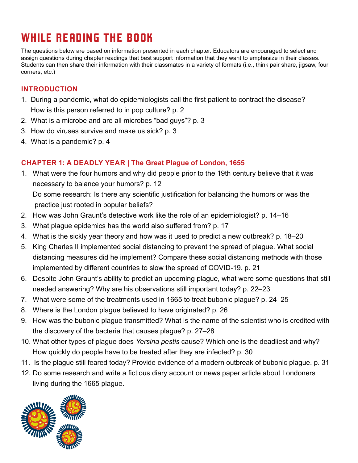# WHILE READING THE BOOK

The questions below are based on information presented in each chapter. Educators are encouraged to select and assign questions during chapter readings that best support information that they want to emphasize in their classes. Students can then share their information with their classmates in a variety of formats (i.e., think pair share, jigsaw, four corners, etc.)

#### **INTRODUCTION**

- 1. During a pandemic, what do epidemiologists call the first patient to contract the disease? How is this person referred to in pop culture? p. 2
- 2. What is a microbe and are all microbes "bad guys"? p. 3
- 3. How do viruses survive and make us sick? p. 3
- 4. What is a pandemic? p. 4

#### **CHAPTER 1: A DEADLY YEAR | The Great Plague of London, 1655**

1. What were the four humors and why did people prior to the 19th century believe that it was necessary to balance your humors? p. 12

 Do some research: Is there any scientific justification for balancing the humors or was the practice just rooted in popular beliefs?

- 2. How was John Graunt's detective work like the role of an epidemiologist? p. 14–16
- 3. What plague epidemics has the world also suffered from? p. 17
- 4. What is the sickly year theory and how was it used to predict a new outbreak? p. 18–20
- 5. King Charles II implemented social distancing to prevent the spread of plague. What social distancing measures did he implement? Compare these social distancing methods with those implemented by different countries to slow the spread of COVID-19. p. 21
- 6. Despite John Graunt's ability to predict an upcoming plague, what were some questions that still needed answering? Why are his observations still important today? p. 22–23
- 7. What were some of the treatments used in 1665 to treat bubonic plague? p. 24–25
- 8. Where is the London plague believed to have originated? p. 26
- 9. How was the bubonic plague transmitted? What is the name of the scientist who is credited with the discovery of the bacteria that causes plague? p. 27–28
- 10. What other types of plague does *Yersina pestis* cause? Which one is the deadliest and why? How quickly do people have to be treated after they are infected? p. 30
- 11. Is the plague still feared today? Provide evidence of a modern outbreak of bubonic plague. p. 31
- 12. Do some research and write a fictious diary account or news paper article about Londoners living during the 1665 plague.

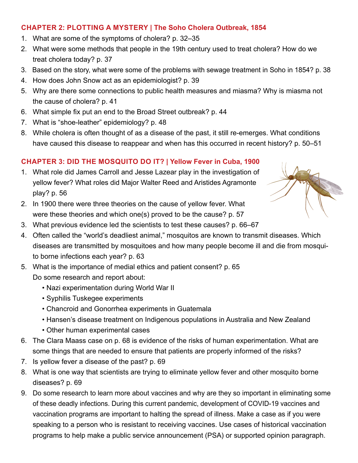#### **CHAPTER 2: PLOTTING A MYSTERY | The Soho Cholera Outbreak, 1854**

- 1. What are some of the symptoms of cholera? p. 32–35
- 2. What were some methods that people in the 19th century used to treat cholera? How do we treat cholera today? p. 37
- 3. Based on the story, what were some of the problems with sewage treatment in Soho in 1854? p. 38
- 4. How does John Snow act as an epidemiologist? p. 39
- 5. Why are there some connections to public health measures and miasma? Why is miasma not the cause of cholera? p. 41
- 6. What simple fix put an end to the Broad Street outbreak? p. 44
- 7. What is "shoe-leather" epidemiology? p. 48
- 8. While cholera is often thought of as a disease of the past, it still re-emerges. What conditions have caused this disease to reappear and when has this occurred in recent history? p. 50–51

#### **CHAPTER 3: DID THE MOSQUITO DO IT? | Yellow Fever in Cuba, 1900**

- 1. What role did James Carroll and Jesse Lazear play in the investigation of yellow fever? What roles did Major Walter Reed and Aristides Agramonte play? p. 56
- 2. In 1900 there were three theories on the cause of yellow fever. What were these theories and which one(s) proved to be the cause? p. 57
- 3. What previous evidence led the scientists to test these causes? p. 66–67
- 4. Often called the "world's deadliest animal," mosquitos are known to transmit diseases. Which diseases are transmitted by mosquitoes and how many people become ill and die from mosquito borne infections each year? p. 63
- 5. What is the importance of medial ethics and patient consent? p. 65 Do some research and report about:
	- Nazi experimentation during World War II
	- Syphilis Tuskegee experiments
	- Chancroid and Gonorrhea experiments in Guatemala
	- Hansen's disease treatment on Indigenous populations in Australia and New Zealand
	- Other human experimental cases
- 6. The Clara Maass case on p. 68 is evidence of the risks of human experimentation. What are some things that are needed to ensure that patients are properly informed of the risks?
- 7. Is yellow fever a disease of the past? p. 69
- 8. What is one way that scientists are trying to eliminate yellow fever and other mosquito borne diseases? p. 69
- 9. Do some research to learn more about vaccines and why are they so important in eliminating some of these deadly infections. During this current pandemic, development of COVID-19 vaccines and vaccination programs are important to halting the spread of illness. Make a case as if you were speaking to a person who is resistant to receiving vaccines. Use cases of historical vaccination programs to help make a public service announcement (PSA) or supported opinion paragraph.

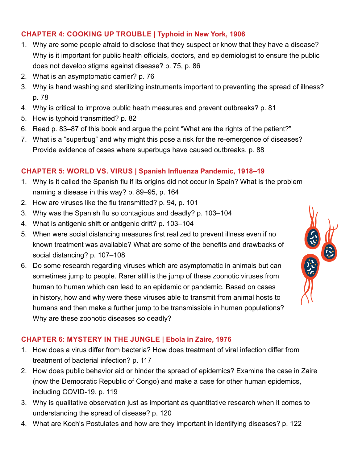#### **CHAPTER 4: COOKING UP TROUBLE | Typhoid in New York, 1906**

- 1. Why are some people afraid to disclose that they suspect or know that they have a disease? Why is it important for public health officials, doctors, and epidemiologist to ensure the public does not develop stigma against disease? p. 75, p. 86
- 2. What is an asymptomatic carrier? p. 76
- 3. Why is hand washing and sterilizing instruments important to preventing the spread of illness? p. 78
- 4. Why is critical to improve public heath measures and prevent outbreaks? p. 81
- 5. How is typhoid transmitted? p. 82
- 6. Read p. 83–87 of this book and argue the point "What are the rights of the patient?"
- 7. What is a "superbug" and why might this pose a risk for the re-emergence of diseases? Provide evidence of cases where superbugs have caused outbreaks. p. 88

#### **CHAPTER 5: WORLD VS. VIRUS | Spanish Influenza Pandemic, 1918–19**

- 1. Why is it called the Spanish flu if its origins did not occur in Spain? What is the problem naming a disease in this way? p. 89–95, p. 164
- 2. How are viruses like the flu transmitted? p. 94, p. 101
- 3. Why was the Spanish flu so contagious and deadly? p. 103–104
- 4. What is antigenic shift or antigenic drift? p. 103–104
- 5. When were social distancing measures first realized to prevent illness even if no known treatment was available? What are some of the benefits and drawbacks of social distancing? p. 107–108
- 6. Do some research regarding viruses which are asymptomatic in animals but can sometimes jump to people. Rarer still is the jump of these zoonotic viruses from human to human which can lead to an epidemic or pandemic. Based on cases in history, how and why were these viruses able to transmit from animal hosts to humans and then make a further jump to be transmissible in human populations? Why are these zoonotic diseases so deadly?



#### **CHAPTER 6: MYSTERY IN THE JUNGLE | Ebola in Zaire, 1976**

- 1. How does a virus differ from bacteria? How does treatment of viral infection differ from treatment of bacterial infection? p. 117
- 2. How does public behavior aid or hinder the spread of epidemics? Examine the case in Zaire (now the Democratic Republic of Congo) and make a case for other human epidemics, including COVID-19. p. 119
- 3. Why is qualitative observation just as important as quantitative research when it comes to understanding the spread of disease? p. 120
- 4. What are Koch's Postulates and how are they important in identifying diseases? p. 122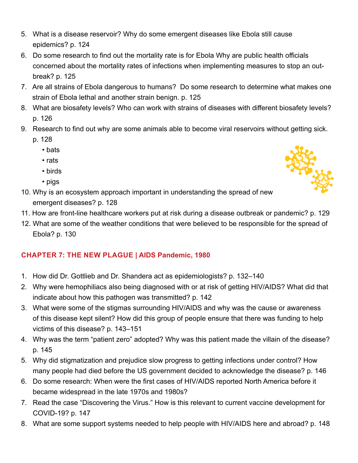- 5. What is a disease reservoir? Why do some emergent diseases like Ebola still cause epidemics? p. 124
- 6. Do some research to find out the mortality rate is for Ebola Why are public health officials concerned about the mortality rates of infections when implementing measures to stop an outbreak? p. 125
- 7. Are all strains of Ebola dangerous to humans? Do some research to determine what makes one strain of Ebola lethal and another strain benign. p. 125
- 8. What are biosafety levels? Who can work with strains of diseases with different biosafety levels? p. 126
- 9. Research to find out why are some animals able to become viral reservoirs without getting sick.
	- p. 128
		- bats
		- rats
		- birds
		- pigs



- 10. Why is an ecosystem approach important in understanding the spread of new emergent diseases? p. 128
- 11. How are front-line healthcare workers put at risk during a disease outbreak or pandemic? p. 129
- 12. What are some of the weather conditions that were believed to be responsible for the spread of Ebola? p. 130

#### **CHAPTER 7: THE NEW PLAGUE | AIDS Pandemic, 1980**

- 1. How did Dr. Gottlieb and Dr. Shandera act as epidemiologists? p. 132–140
- 2. Why were hemophiliacs also being diagnosed with or at risk of getting HIV/AIDS? What did that indicate about how this pathogen was transmitted? p. 142
- 3. What were some of the stigmas surrounding HIV/AIDS and why was the cause or awareness of this disease kept silent? How did this group of people ensure that there was funding to help victims of this disease? p. 143–151
- 4. Why was the term "patient zero" adopted? Why was this patient made the villain of the disease? p. 145
- 5. Why did stigmatization and prejudice slow progress to getting infections under control? How many people had died before the US government decided to acknowledge the disease? p. 146
- 6. Do some research: When were the first cases of HIV/AIDS reported North America before it became widespread in the late 1970s and 1980s?
- 7. Read the case "Discovering the Virus." How is this relevant to current vaccine development for COVID-19? p. 147
- 8. What are some support systems needed to help people with HIV/AIDS here and abroad? p. 148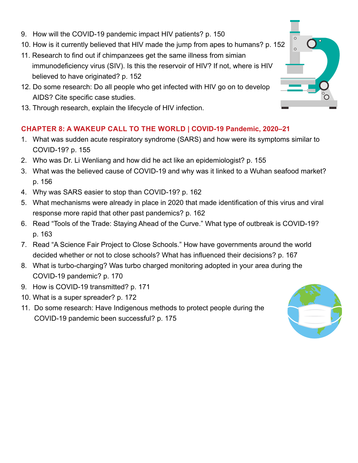- 9. How will the COVID-19 pandemic impact HIV patients? p. 150
- 10. How is it currently believed that HIV made the jump from apes to humans? p. 152
- 11. Research to find out if chimpanzees get the same illness from simian immunodeficiency virus (SIV). Is this the reservoir of HIV? If not, where is HIV believed to have originated? p. 152
- 12. Do some research: Do all people who get infected with HIV go on to develop AIDS? Cite specific case studies.
- 13. Through research, explain the lifecycle of HIV infection.

#### **CHAPTER 8: A WAKEUP CALL TO THE WORLD | COVID-19 Pandemic, 2020–21**

- 1. What was sudden acute respiratory syndrome (SARS) and how were its symptoms similar to COVID-19? p. 155
- 2. Who was Dr. Li Wenliang and how did he act like an epidemiologist? p. 155
- 3. What was the believed cause of COVID-19 and why was it linked to a Wuhan seafood market? p. 156
- 4. Why was SARS easier to stop than COVID-19? p. 162
- 5. What mechanisms were already in place in 2020 that made identification of this virus and viral response more rapid that other past pandemics? p. 162
- 6. Read "Tools of the Trade: Staying Ahead of the Curve." What type of outbreak is COVID-19? p. 163
- 7. Read "A Science Fair Project to Close Schools." How have governments around the world decided whether or not to close schools? What has influenced their decisions? p. 167
- 8. What is turbo-charging? Was turbo charged monitoring adopted in your area during the COVID-19 pandemic? p. 170
- 9. How is COVID-19 transmitted? p. 171
- 10. What is a super spreader? p. 172
- 11. Do some research: Have Indigenous methods to protect people during the COVID-19 pandemic been successful? p. 175



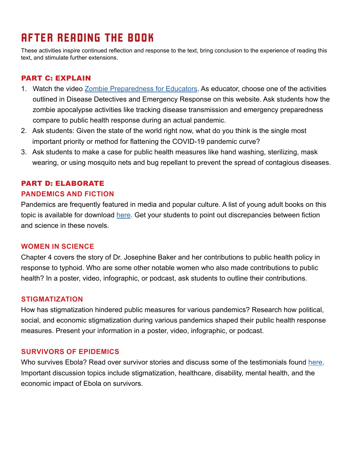## AFTER READING THE BOOK

These activities inspire continued reflection and response to the text, bring conclusion to the experience of reading this text, and stimulate further extensions.

#### PART C: EXPLAIN

- 1. Watch the video [Zombie Preparedness for Educators.](https://www.cdc.gov/cpr/zombie/educate) As educator, choose one of the activities outlined in Disease Detectives and Emergency Response on this website. Ask students how the zombie apocalypse activities like tracking disease transmission and emergency preparedness compare to public health response during an actual pandemic.
- 2. Ask students: Given the state of the world right now, what do you think is the single most important priority or method for flattening the COVID-19 pandemic curve?
- 3. Ask students to make a case for public health measures like hand washing, sterilizing, mask wearing, or using mosquito nets and bug repellant to prevent the spread of contagious diseases.

#### PART D: ELABORATE **PANDEMICS AND FICTION**

Pandemics are frequently featured in media and popular culture. A list of young adult books on this topic is available for download [here](https://my.vanderbilt.edu/yabooklists/topics/pandemic-epidemic/). Get your students to point out discrepancies between fiction and science in these novels.

#### **WOMEN IN SCIENCE**

Chapter 4 covers the story of Dr. Josephine Baker and her contributions to public health policy in response to typhoid. Who are some other notable women who also made contributions to public health? In a poster, video, infographic, or podcast, ask students to outline their contributions.

#### **STIGMATIZATION**

How has stigmatization hindered public measures for various pandemics? Research how political, social, and economic stigmatization during various pandemics shaped their public health response measures. Present your information in a poster, video, infographic, or podcast.

#### **SURVIVORS OF EPIDEMICS**

Who survives Ebola? Read over survivor stories and discuss some of the testimonials found [here.](http://www.who.int/features/2014/ebola-survivor-stories/en/) Important discussion topics include stigmatization, healthcare, disability, mental health, and the economic impact of Ebola on survivors.